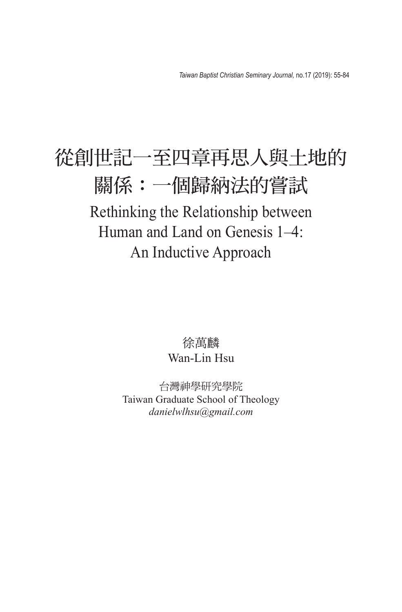## 從創世記一至四章再思人與土地的 關係:一個歸納法的嘗試 Rethinking the Relationship between Human and Land on Genesis 1–4: An Inductive Approach

## 徐萬麟 Wan-Lin Hsu

台灣神學研究學院 Taiwan Graduate School of Theology *danielwlhsu@gmail.com*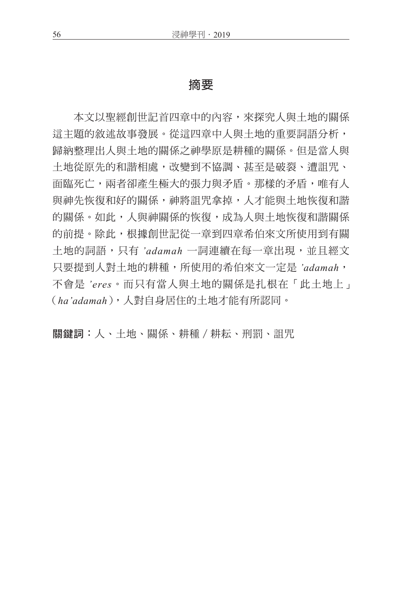## 摘要

本文以聖經創世記首四章中的內容,來探究人與土地的關係 這主題的敘述故事發展。從這四章中人與土地的重要詞語分析, 歸納整理出人與土地的關係之神學原是耕種的關係。但是當人與 土地從原先的和諧相處,改變到不協調、甚至是破裂、遭詛咒、 而臨死亡,兩者卻產生極大的張力與矛盾。那樣的矛盾,唯有人 與神先恢復和好的關係,神將詛咒拿掉,人才能與土地恢復和諧 的關係。如此,人與神關係的恢復,成為人與土地恢復和諧關係 的前提。除此,根據創世記從一章到四章希伯來文所使用到有關 土地的詞語,只有 *'adamah* 一詞連續在每一章出現,並且經文 只要提到人對土地的耕種,所使用的希伯來文一定是 *'adamah*, 不會是 *'eres*。而只有當人與土地的關係是扎根在「此土地上」 (*ha'adamah*),人對自身居住的土地才能有所認同。

關鍵詞:人、土地、關係、耕種/耕耘、刑罰、詛咒